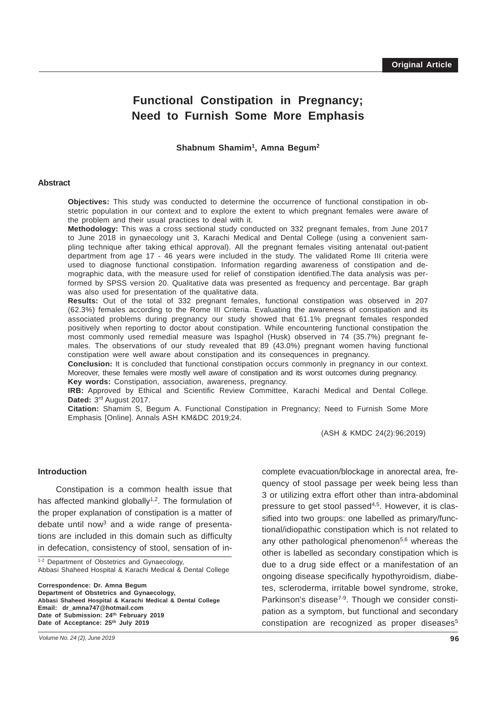# **Functional Constipation in Pregnancy; Need to Furnish Some More Emphasis**

**Shabnum Shamim1, Amna Begum2**

#### **Abstract**

**Objectives:** This study was conducted to determine the occurrence of functional constipation in obstetric population in our context and to explore the extent to which pregnant females were aware of the problem and their usual practices to deal with it.

**Methodology:** This was a cross sectional study conducted on 332 pregnant females, from June 2017 to June 2018 in gynaecology unit 3, Karachi Medical and Dental College (using a convenient sampling technique after taking ethical approval). All the pregnant females visiting antenatal out-patient department from age 17 - 46 years were included in the study. The validated Rome III criteria were used to diagnose functional constipation. Information regarding awareness of constipation and demographic data, with the measure used for relief of constipation identified.The data analysis was performed by SPSS version 20. Qualitative data was presented as frequency and percentage. Bar graph was also used for presentation of the qualitative data.

**Results:** Out of the total of 332 pregnant females, functional constipation was observed in 207 (62.3%) females according to the Rome III Criteria. Evaluating the awareness of constipation and its associated problems during pregnancy our study showed that 61.1% pregnant females responded positively when reporting to doctor about constipation. While encountering functional constipation the most commonly used remedial measure was Ispaghol (Husk) observed in 74 (35.7%) pregnant females. The observations of our study revealed that 89 (43.0%) pregnant women having functional constipation were well aware about constipation and its consequences in pregnancy.

**Conclusion:** It is concluded that functional constipation occurs commonly in pregnancy in our context. Moreover, these females were mostly well aware of constipation and its worst outcomes during pregnancy. **Key words:** Constipation, association, awareness, pregnancy.

**IRB:** Approved by Ethical and Scientific Review Committee, Karachi Medical and Dental College. Dated: 3rd August 2017.

**Citation:** Shamim S, Begum A. Functional Constipation in Pregnancy; Need to Furnish Some More Emphasis [Online]. Annals ASH KM&DC 2019;24.

(ASH & KMDC 24(2):96;2019)

#### **Introduction**

in defecation, consistency of stool, sensation of in-Constipation is a common health issue that has affected mankind globally<sup>1,2</sup>. The formulation of the proper explanation of constipation is a matter of debate until now<sup>3</sup> and a wide range of presentations are included in this domain such as difficulty

1-2 Department of Obstetrics and Gynaecology Abbasi Shaheed Hospital & Karachi Medical & Dental College

**Correspondence: Dr. Amna Begum Department of Obstetrics and Gynaecology, Abbasi Shaheed Hospital & Karachi Medical & Dental College Email: dr\_amna747@hotmail.com Date of Submission: 24th February 2019 Date of Acceptance: 25th July 2019**

complete evacuation/blockage in anorectal area, frequency of stool passage per week being less than 3 or utilizing extra effort other than intra-abdominal pressure to get stool passed<sup>4,5</sup>. However, it is classified into two groups: one labelled as primary/functional/idiopathic constipation which is not related to any other pathological phenomenon $5,6$  whereas the other is labelled as secondary constipation which is due to a drug side effect or a manifestation of an ongoing disease specifically hypothyroidism, diabetes, scleroderma, irritable bowel syndrome, stroke, Parkinson's disease<sup>7-9</sup>. Though we consider constipation as a symptom, but functional and secondary constipation are recognized as proper diseases<sup>5</sup>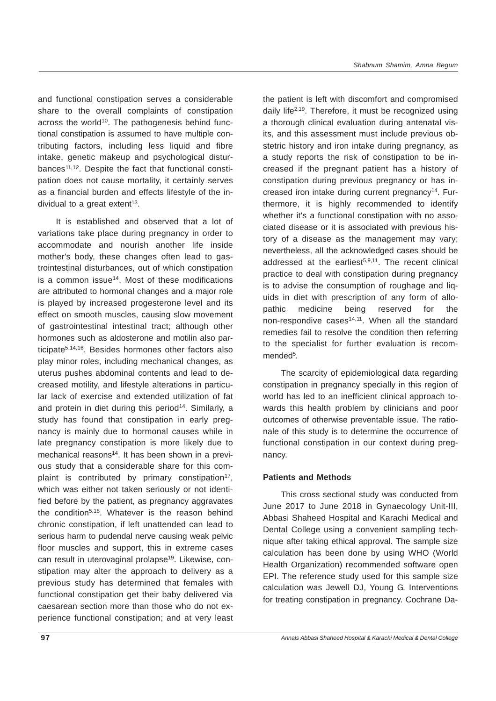and functional constipation serves a considerable share to the overall complaints of constipation across the world<sup>10</sup>. The pathogenesis behind functional constipation is assumed to have multiple contributing factors, including less liquid and fibre intake, genetic makeup and psychological disturbances<sup>11,12</sup>. Despite the fact that functional constipation does not cause mortality, it certainly serves as a financial burden and effects lifestyle of the individual to a great extent<sup>13</sup>.

It is established and observed that a lot of variations take place during pregnancy in order to accommodate and nourish another life inside mother's body, these changes often lead to gastrointestinal disturbances, out of which constipation is a common issue<sup>14</sup>. Most of these modifications are attributed to hormonal changes and a major role is played by increased progesterone level and its effect on smooth muscles, causing slow movement of gastrointestinal intestinal tract; although other hormones such as aldosterone and motilin also participate5,14,16. Besides hormones other factors also play minor roles, including mechanical changes, as uterus pushes abdominal contents and lead to decreased motility, and lifestyle alterations in particular lack of exercise and extended utilization of fat and protein in diet during this period<sup>14</sup>. Similarly, a study has found that constipation in early pregnancy is mainly due to hormonal causes while in late pregnancy constipation is more likely due to mechanical reasons<sup>14</sup>. It has been shown in a previous study that a considerable share for this complaint is contributed by primary constipation<sup>17</sup>, which was either not taken seriously or not identified before by the patient, as pregnancy aggravates the condition<sup>5,18</sup>. Whatever is the reason behind chronic constipation, if left unattended can lead to serious harm to pudendal nerve causing weak pelvic floor muscles and support, this in extreme cases can result in uterovaginal prolapse<sup>19</sup>. Likewise, constipation may alter the approach to delivery as a previous study has determined that females with functional constipation get their baby delivered via caesarean section more than those who do not experience functional constipation; and at very least the patient is left with discomfort and compromised daily life<sup>2,19</sup>. Therefore, it must be recognized using a thorough clinical evaluation during antenatal visits, and this assessment must include previous obstetric history and iron intake during pregnancy, as a study reports the risk of constipation to be increased if the pregnant patient has a history of constipation during previous pregnancy or has increased iron intake during current pregnancy<sup>14</sup>. Furthermore, it is highly recommended to identify whether it's a functional constipation with no associated disease or it is associated with previous history of a disease as the management may vary; nevertheless, all the acknowledged cases should be addressed at the earliest<sup>5,9,11</sup>. The recent clinical practice to deal with constipation during pregnancy is to advise the consumption of roughage and liquids in diet with prescription of any form of allopathic medicine being reserved for the non-respondive cases<sup>14,11</sup>. When all the standard remedies fail to resolve the condition then referring to the specialist for further evaluation is recommended<sup>5</sup>.

The scarcity of epidemiological data regarding constipation in pregnancy specially in this region of world has led to an inefficient clinical approach towards this health problem by clinicians and poor outcomes of otherwise preventable issue. The rationale of this study is to determine the occurrence of functional constipation in our context during pregnancy.

# **Patients and Methods**

This cross sectional study was conducted from June 2017 to June 2018 in Gynaecology Unit-III, Abbasi Shaheed Hospital and Karachi Medical and Dental College using a convenient sampling technique after taking ethical approval. The sample size calculation has been done by using WHO (World Health Organization) recommended software open EPI. The reference study used for this sample size calculation was Jewell DJ, Young G. Interventions for treating constipation in pregnancy. Cochrane Da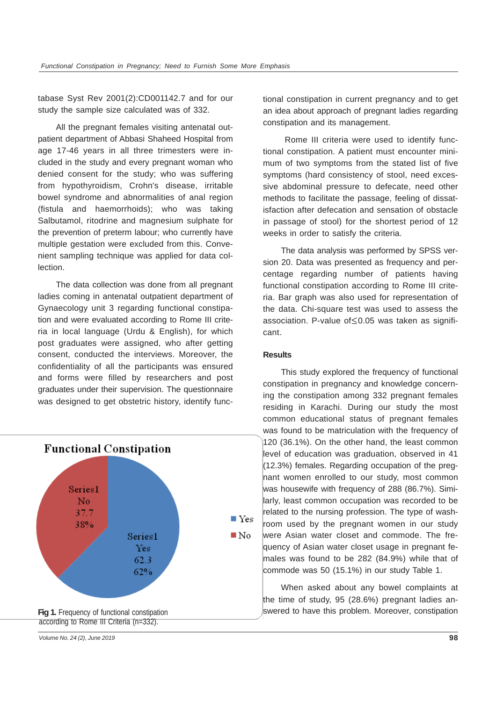tabase Syst Rev 2001(2):CD001142.7 and for our study the sample size calculated was of 332.

All the pregnant females visiting antenatal outpatient department of Abbasi Shaheed Hospital from age 17-46 years in all three trimesters were included in the study and every pregnant woman who denied consent for the study; who was suffering from hypothyroidism, Crohn's disease, irritable bowel syndrome and abnormalities of anal region (fistula and haemorrhoids); who was taking Salbutamol, ritodrine and magnesium sulphate for the prevention of preterm labour; who currently have multiple gestation were excluded from this. Convenient sampling technique was applied for data collection.

The data collection was done from all pregnant ladies coming in antenatal outpatient department of Gynaecology unit 3 regarding functional constipation and were evaluated according to Rome III criteria in local language (Urdu & English), for which post graduates were assigned, who after getting consent, conducted the interviews. Moreover, the confidentiality of all the participants was ensured and forms were filled by researchers and post graduates under their supervision. The questionnaire was designed to get obstetric history, identify func-



according to Rome III Criteria (n=332).

tional constipation in current pregnancy and to get an idea about approach of pregnant ladies regarding constipation and its management.

 Rome III criteria were used to identify functional constipation. A patient must encounter minimum of two symptoms from the stated list of five symptoms (hard consistency of stool, need excessive abdominal pressure to defecate, need other methods to facilitate the passage, feeling of dissatisfaction after defecation and sensation of obstacle in passage of stool) for the shortest period of 12 weeks in order to satisfy the criteria.

The data analysis was performed by SPSS version 20. Data was presented as frequency and percentage regarding number of patients having functional constipation according to Rome III criteria. Bar graph was also used for representation of the data. Chi-square test was used to assess the association. P-value of≤0.05 was taken as significant.

#### **Results**

This study explored the frequency of functional constipation in pregnancy and knowledge concerning the constipation among 332 pregnant females residing in Karachi. During our study the most common educational status of pregnant females was found to be matriculation with the frequency of 120 (36.1%). On the other hand, the least common level of education was graduation, observed in 41 (12.3%) females. Regarding occupation of the pregnant women enrolled to our study, most common was housewife with frequency of 288 (86.7%). Similarly, least common occupation was recorded to be related to the nursing profession. The type of washroom used by the pregnant women in our study were Asian water closet and commode. The frequency of Asian water closet usage in pregnant females was found to be 282 (84.9%) while that of commode was 50 (15.1%) in our study Table 1.

When asked about any bowel complaints at the time of study, 95 (28.6%) pregnant ladies answered to have this problem. Moreover, constipation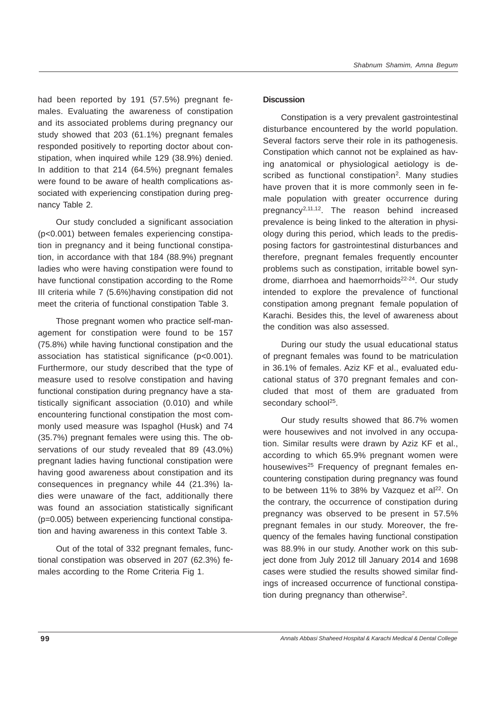had been reported by 191 (57.5%) pregnant females. Evaluating the awareness of constipation and its associated problems during pregnancy our study showed that 203 (61.1%) pregnant females responded positively to reporting doctor about constipation, when inquired while 129 (38.9%) denied. In addition to that 214 (64.5%) pregnant females were found to be aware of health complications associated with experiencing constipation during pregnancy Table 2.

Our study concluded a significant association (p<0.001) between females experiencing constipation in pregnancy and it being functional constipation, in accordance with that 184 (88.9%) pregnant ladies who were having constipation were found to have functional constipation according to the Rome III criteria while 7 (5.6%)having constipation did not meet the criteria of functional constipation Table 3.

Those pregnant women who practice self-management for constipation were found to be 157 (75.8%) while having functional constipation and the association has statistical significance (p<0.001). Furthermore, our study described that the type of measure used to resolve constipation and having functional constipation during pregnancy have a statistically significant association (0.010) and while encountering functional constipation the most commonly used measure was Ispaghol (Husk) and 74 (35.7%) pregnant females were using this. The observations of our study revealed that 89 (43.0%) pregnant ladies having functional constipation were having good awareness about constipation and its consequences in pregnancy while 44 (21.3%) ladies were unaware of the fact, additionally there was found an association statistically significant (p=0.005) between experiencing functional constipation and having awareness in this context Table 3.

Out of the total of 332 pregnant females, functional constipation was observed in 207 (62.3%) females according to the Rome Criteria Fig 1.

### **Discussion**

Constipation is a very prevalent gastrointestinal disturbance encountered by the world population. Several factors serve their role in its pathogenesis. Constipation which cannot not be explained as having anatomical or physiological aetiology is described as functional constipation<sup>2</sup>. Many studies have proven that it is more commonly seen in female population with greater occurrence during pregnancy2,11,12. The reason behind increased prevalence is being linked to the alteration in physiology during this period, which leads to the predisposing factors for gastrointestinal disturbances and therefore, pregnant females frequently encounter problems such as constipation, irritable bowel syndrome, diarrhoea and haemorrhoids<sup>22-24</sup>. Our study intended to explore the prevalence of functional constipation among pregnant female population of Karachi. Besides this, the level of awareness about the condition was also assessed.

During our study the usual educational status of pregnant females was found to be matriculation in 36.1% of females. Aziz KF et al., evaluated educational status of 370 pregnant females and concluded that most of them are graduated from secondary school<sup>25</sup>.

Our study results showed that 86.7% women were housewives and not involved in any occupation. Similar results were drawn by Aziz KF et al., according to which 65.9% pregnant women were housewives<sup>25</sup> Frequency of pregnant females encountering constipation during pregnancy was found to be between 11% to 38% by Vazquez et  $al<sup>22</sup>$ . On the contrary, the occurrence of constipation during pregnancy was observed to be present in 57.5% pregnant females in our study. Moreover, the frequency of the females having functional constipation was 88.9% in our study. Another work on this subject done from July 2012 till January 2014 and 1698 cases were studied the results showed similar findings of increased occurrence of functional constipation during pregnancy than otherwise<sup>2</sup>.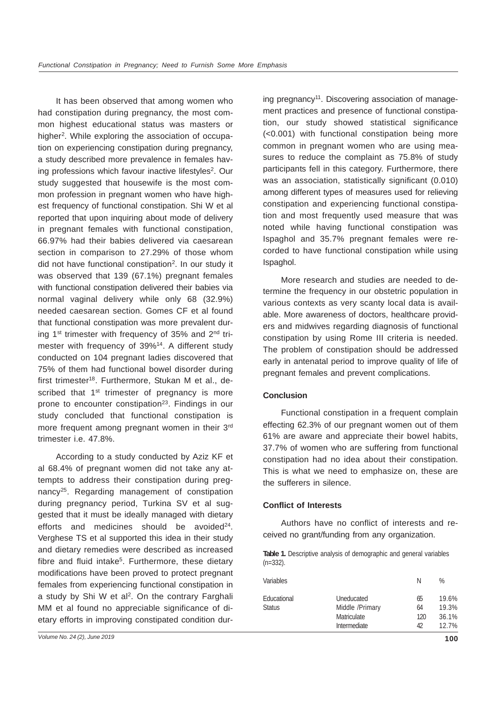It has been observed that among women who had constipation during pregnancy, the most common highest educational status was masters or higher<sup>2</sup>. While exploring the association of occupation on experiencing constipation during pregnancy, a study described more prevalence in females having professions which favour inactive lifestyles<sup>2</sup>. Our study suggested that housewife is the most common profession in pregnant women who have highest frequency of functional constipation. Shi W et al reported that upon inquiring about mode of delivery in pregnant females with functional constipation, 66.97% had their babies delivered via caesarean section in comparison to 27.29% of those whom did not have functional constipation<sup>2</sup>. In our study it was observed that 139 (67.1%) pregnant females with functional constipation delivered their babies via normal vaginal delivery while only 68 (32.9%) needed caesarean section. Gomes CF et al found that functional constipation was more prevalent during 1<sup>st</sup> trimester with frequency of 35% and  $2<sup>nd</sup>$  trimester with frequency of 39%14. A different study conducted on 104 pregnant ladies discovered that 75% of them had functional bowel disorder during first trimester<sup>18</sup>. Furthermore, Stukan M et al., described that  $1<sup>st</sup>$  trimester of pregnancy is more prone to encounter constipation<sup>23</sup>. Findings in our study concluded that functional constipation is more frequent among pregnant women in their 3<sup>rd</sup> trimester i.e. 47.8%.

According to a study conducted by Aziz KF et al 68.4% of pregnant women did not take any attempts to address their constipation during pregnancy25. Regarding management of constipation during pregnancy period, Turkina SV et al suggested that it must be ideally managed with dietary efforts and medicines should be avoided $24$ . Verghese TS et al supported this idea in their study and dietary remedies were described as increased fibre and fluid intake<sup>5</sup>. Furthermore, these dietary modifications have been proved to protect pregnant females from experiencing functional constipation in a study by Shi W et al<sup>2</sup>. On the contrary Farghali MM et al found no appreciable significance of dietary efforts in improving constipated condition during pregnancy11. Discovering association of management practices and presence of functional constipation, our study showed statistical significance (<0.001) with functional constipation being more common in pregnant women who are using measures to reduce the complaint as 75.8% of study participants fell in this category. Furthermore, there was an association, statistically significant (0.010) among different types of measures used for relieving constipation and experiencing functional constipation and most frequently used measure that was noted while having functional constipation was Ispaghol and 35.7% pregnant females were recorded to have functional constipation while using Ispaghol.

More research and studies are needed to determine the frequency in our obstetric population in various contexts as very scanty local data is available. More awareness of doctors, healthcare providers and midwives regarding diagnosis of functional constipation by using Rome III criteria is needed. The problem of constipation should be addressed early in antenatal period to improve quality of life of pregnant females and prevent complications.

## **Conclusion**

Functional constipation in a frequent complain effecting 62.3% of our pregnant women out of them 61% are aware and appreciate their bowel habits, 37.7% of women who are suffering from functional constipation had no idea about their constipation. This is what we need to emphasize on, these are the sufferers in silence.

#### **Conflict of Interests**

Authors have no conflict of interests and received no grant/funding from any organization.

**Table 1.** Descriptive analysis of demographic and general variables (n=332).

| Variables                    |                                                              | N                     | %                                |
|------------------------------|--------------------------------------------------------------|-----------------------|----------------------------------|
| Educational<br><b>Status</b> | Uneducated<br>Middle /Primary<br>Matriculate<br>Intermediate | 65<br>64<br>120<br>42 | 19.6%<br>19.3%<br>36.1%<br>12.7% |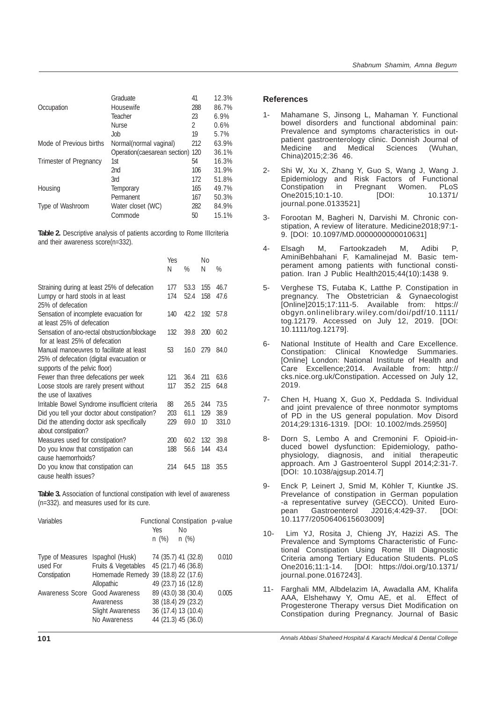|                         | Graduate                     | 41  | 12.3% |
|-------------------------|------------------------------|-----|-------|
| Occupation              | Housewife                    | 288 | 86.7% |
|                         | Teacher                      | 23  | 6.9%  |
|                         | <b>Nurse</b>                 | 2   | 0.6%  |
|                         | .Job                         | 19  | 5.7%  |
| Mode of Previous births | Normal(normal vaginal)       | 212 | 63.9% |
|                         | Operation(caesarean section) | 120 | 36.1% |
| Trimester of Pregnancy  | 1st                          | 54  | 16.3% |
|                         | 2 <sub>nd</sub>              | 106 | 31.9% |
|                         | 3rd                          | 172 | 51.8% |
| Housing                 | Temporary                    | 165 | 49.7% |
|                         | Permanent                    | 167 | 50.3% |
| Type of Washroom        | Water closet (WC)            | 282 | 84.9% |
|                         | Commode                      | 50  | 15.1% |
|                         |                              |     |       |

**Table 2.** Descriptive analysis of patients according to Rome IIIcriteria and their awareness score(n=332).

|                                                                                | <b>Yes</b><br>Ν | $\%$ | Nο<br>N         | %     |
|--------------------------------------------------------------------------------|-----------------|------|-----------------|-------|
| Straining during at least 25% of defecation                                    | 177             | 53.3 | 155             | 46.7  |
| Lumpy or hard stools in at least                                               | 174             | 52.4 | 158             | 47.6  |
| 25% of defecation                                                              |                 |      |                 |       |
| Sensation of incomplete evacuation for                                         | 140             | 42.2 | 192             | 57.8  |
| at least 25% of defecation                                                     |                 |      |                 |       |
| Sensation of ano-rectal obstruction/blockage<br>for at least 25% of defecation | 132             | 39.8 | 200             | 60.2  |
| Manual manoeuvres to facilitate at least                                       | 53              | 16.0 | 279             | 84.0  |
| 25% of defecation (digital evacuation or                                       |                 |      |                 |       |
| supports of the pelvic floor)                                                  |                 |      |                 |       |
| Fewer than three defecations per week                                          | 121             | 36.4 | 211             | 63.6  |
| Loose stools are rarely present without                                        | 117             | 35.2 | 215             | 64.8  |
| the use of laxatives                                                           |                 |      |                 |       |
| Irritable Bowel Syndrome insufficient criteria                                 | 88              | 26.5 | 244             | 73.5  |
| Did you tell your doctor about constipation?                                   | 203             | 61.1 | 129             | 38.9  |
| Did the attending doctor ask specifically                                      | 229             | 69.0 | 10 <sup>1</sup> | 331.0 |
| about constipation?                                                            |                 |      |                 |       |
| Measures used for constipation?                                                | 200             | 60.2 | 132             | 39.8  |
| Do you know that constipation can                                              | 188             | 56.6 | 144             | 43.4  |
| cause haemorrhoids?                                                            |                 |      |                 |       |
| Do you know that constipation can<br>cause health issues?                      | 214             | 64.5 | 118             | 35.5  |

**Table 3.** Association of functional constipation with level of awareness (n=332). and measures used for its cure.

| Variables                                    |                                                                                             | Yes<br>$n$ (%) | Functional Constipation p-value<br>Νo<br>n(%)                                            |       |
|----------------------------------------------|---------------------------------------------------------------------------------------------|----------------|------------------------------------------------------------------------------------------|-------|
| Type of Measures<br>used For<br>Constipation | Ispaghol (Husk)<br>Fruits & Vegetables<br>Homemade Remedy 39 (18.8) 22 (17.6)<br>Allopathic |                | 74 (35.7) 41 (32.8)<br>45 (21.7) 46 (36.8)<br>49 (23.7) 16 (12.8)                        | 0.010 |
| Awareness Score                              | Good Awareness<br>Awareness<br><b>Slight Awareness</b><br>No Awareness                      |                | 89 (43.0) 38 (30.4)<br>38 (18.4) 29 (23.2)<br>36 (17.4) 13 (10.4)<br>44 (21.3) 45 (36.0) | 0.005 |

## **References**

- Mahamane S, Jinsong L, Mahaman Y. Functional bowel disorders and functional abdominal pain: Prevalence and symptoms characteristics in outpatient gastroenterology clinic. Donnish Journal of Medicine and Medical Sciences (Wuhan, China)2015;2:36 46.
- 2- Shi W, Xu X, Zhang Y, Guo S, Wang J, Wang J. Epidemiology and Risk Factors of Functional Constipation in Pregnant Women. PLoS One2015;10:1-10. [DOI: 10.1371/ journal.pone.0133521]
- 3- Forootan M, Bagheri N, Darvishi M. Chronic constipation, A review of literature. Medicine2018;97:1- 9. [DOI: 10.1097/MD.0000000000010631]
- 4- Elsagh M, Fartookzadeh M, Adibi P, AminiBehbahani F, Kamalinejad M. Basic temperament among patients with functional constipation. Iran J Public Health2015;44(10):1438 9.
- 5- Verghese TS, Futaba K, Latthe P. Constipation in pregnancy. The Obstetrician & Gynaecologist [Online]2015;17:111-5. Available from: https:// obgyn.onlinelibrary.wiley.com/doi/pdf/10.1111/ tog.12179. Accessed on July 12, 2019. [DOI: 10.1111/tog.12179].
- 6- National Institute of Health and Care Excellence. Constipation: Clinical Knowledge Summaries. [Online] London: National Institute of Health and Care Excellence;2014. Available from: http:// cks.nice.org.uk/Constipation. Accessed on July 12, 2019.
- 7- Chen H, Huang X, Guo X, Peddada S. Individual and joint prevalence of three nonmotor symptoms of PD in the US general population. Mov Disord 2014;29:1316-1319. [DOI: 10.1002/mds.25950]
- 8- Dorn S, Lembo A and Cremonini F. Opioid-induced bowel dysfunction: Epidemiology, pathophysiology, diagnosis, and initial therapeutic approach. Am J Gastroenterol Suppl 2014;2:31-7. [DOI: 10.1038/ajgsup.2014.7]
- 9- Enck P, Leinert J, Smid M, Köhler T, Kiuntke JS. Prevelance of constipation in German population -a representative survey (GECCO). United Euro-<br>pean Gastroenterol J2016;4:429-37. IDOI: pean Gastroenterol J2016;4:429-37. [DOI: 10.1177/2050640615603009]
- 10- Lim YJ, Rosita J, Chieng JY, Hazizi AS. The Prevalence and Symptoms Characteristic of Functional Constipation Using Rome III Diagnostic Criteria among Tertiary Education Students. PLoS One2016;11:1-14. [DOI: https://doi.org/10.1371/ journal.pone.0167243].
- 11- Farghali MM, Albdelazim IA, Awadalla AM, Khalifa AAA, Elshehawy Y, Omu AE, et al. Effect of Progesterone Therapy versus Diet Modification on Constipation during Pregnancy. Journal of Basic